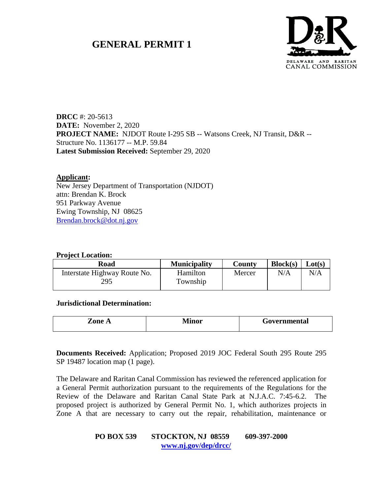# **GENERAL PERMIT 1**



**DRCC** #: 20-5613 **DATE:** November 2, 2020 **PROJECT NAME:** NJDOT Route I-295 SB -- Watsons Creek, NJ Transit, D&R -- Structure No. 1136177 -- M.P. 59.84 **Latest Submission Received:** September 29, 2020

#### **Applicant:**

New Jersey Department of Transportation (NJDOT) attn: Brendan K. Brock 951 Parkway Avenue Ewing Township, NJ 08625 [Brendan.brock@dot.nj.gov](mailto:Brendan.brock@dot.nj.gov)

#### **Project Location:**

| Road                                | <b>Municipality</b>  | County | Block(s) | Lot(s) |
|-------------------------------------|----------------------|--------|----------|--------|
| Interstate Highway Route No.<br>295 | Hamilton<br>Township | Mercer | N/A      | N/A    |

**Jurisdictional Determination:**

| Zone A | \ /[:<br>I 11 A 14 | Governmental |
|--------|--------------------|--------------|
|        |                    |              |

**Documents Received:** Application; Proposed 2019 JOC Federal South 295 Route 295 SP 19487 location map (1 page).

The Delaware and Raritan Canal Commission has reviewed the referenced application for a General Permit authorization pursuant to the requirements of the Regulations for the Review of the Delaware and Raritan Canal State Park at N.J.A.C. 7:45-6.2. The proposed project is authorized by General Permit No. 1, which authorizes projects in Zone A that are necessary to carry out the repair, rehabilitation, maintenance or

#### **PO BOX 539 STOCKTON, NJ 08559 609-397-2000 [www.nj.gov/dep/drcc/](http://www.nj.gov/dep/drcc/)**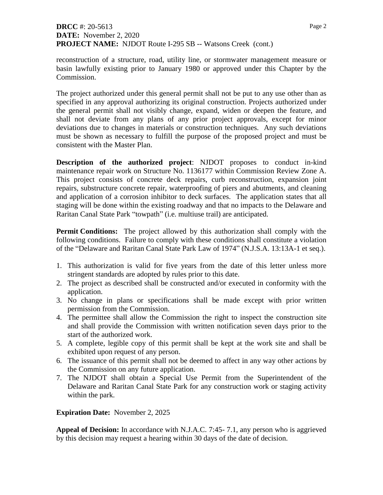# **DRCC** #: 20-5613 **DATE:** November 2, 2020 **PROJECT NAME:** NJDOT Route I-295 SB -- Watsons Creek (cont.)

reconstruction of a structure, road, utility line, or stormwater management measure or basin lawfully existing prior to January 1980 or approved under this Chapter by the Commission.

The project authorized under this general permit shall not be put to any use other than as specified in any approval authorizing its original construction. Projects authorized under the general permit shall not visibly change, expand, widen or deepen the feature, and shall not deviate from any plans of any prior project approvals, except for minor deviations due to changes in materials or construction techniques. Any such deviations must be shown as necessary to fulfill the purpose of the proposed project and must be consistent with the Master Plan.

**Description of the authorized project**: NJDOT proposes to conduct in-kind maintenance repair work on Structure No. 1136177 within Commission Review Zone A. This project consists of concrete deck repairs, curb reconstruction, expansion joint repairs, substructure concrete repair, waterproofing of piers and abutments, and cleaning and application of a corrosion inhibitor to deck surfaces. The application states that all staging will be done within the existing roadway and that no impacts to the Delaware and Raritan Canal State Park "towpath" (i.e. multiuse trail) are anticipated.

**Permit Conditions:** The project allowed by this authorization shall comply with the following conditions. Failure to comply with these conditions shall constitute a violation of the "Delaware and Raritan Canal State Park Law of 1974" (N.J.S.A. 13:13A-1 et seq.).

- 1. This authorization is valid for five years from the date of this letter unless more stringent standards are adopted by rules prior to this date.
- 2. The project as described shall be constructed and/or executed in conformity with the application.
- 3. No change in plans or specifications shall be made except with prior written permission from the Commission.
- 4. The permittee shall allow the Commission the right to inspect the construction site and shall provide the Commission with written notification seven days prior to the start of the authorized work.
- 5. A complete, legible copy of this permit shall be kept at the work site and shall be exhibited upon request of any person.
- 6. The issuance of this permit shall not be deemed to affect in any way other actions by the Commission on any future application.
- 7. The NJDOT shall obtain a Special Use Permit from the Superintendent of the Delaware and Raritan Canal State Park for any construction work or staging activity within the park.

## **Expiration Date:** November 2, 2025

**Appeal of Decision:** In accordance with N.J.A.C. 7:45- 7.1, any person who is aggrieved by this decision may request a hearing within 30 days of the date of decision.